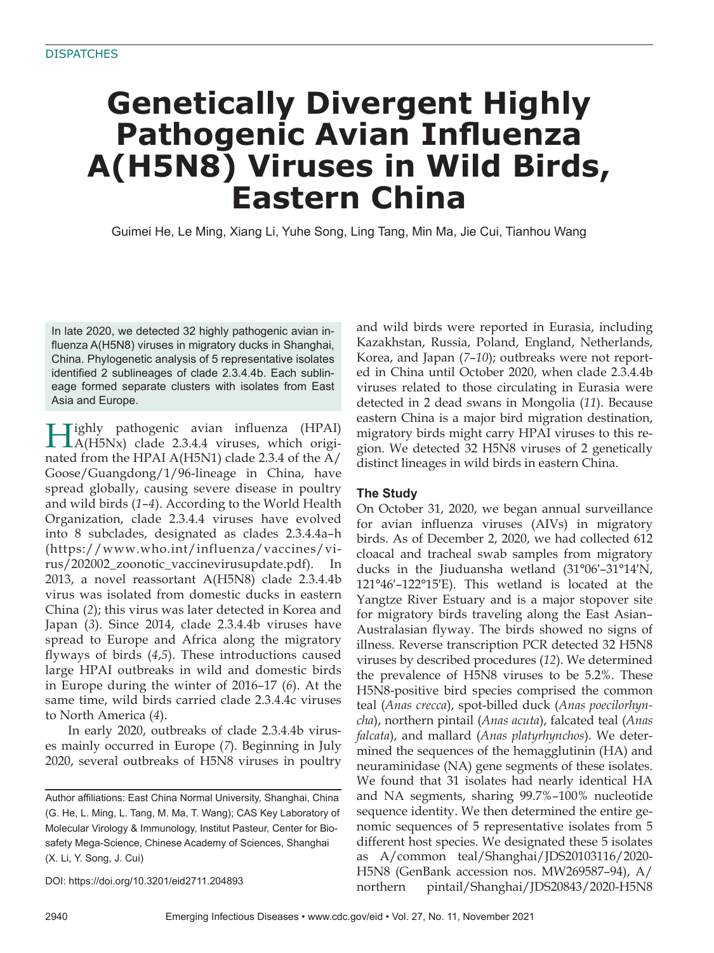# **Genetically Divergent Highly Pathogenic Avian Influenza A(H5N8) Viruses in Wild Birds, Eastern China**

Guimei He, Le Ming, Xiang Li, Yuhe Song, Ling Tang, Min Ma, Jie Cui, Tianhou Wang

In late 2020, we detected 32 highly pathogenic avian influenza A(H5N8) viruses in migratory ducks in Shanghai, China. Phylogenetic analysis of 5 representative isolates identified 2 sublineages of clade 2.3.4.4b. Each sublineage formed separate clusters with isolates from East Asia and Europe.

Highly pathogenic avian influenza (HPAI)<br>A(H5Nx) clade 2.3.4.4 viruses, which originated from the HPAI A(H5N1) clade 2.3.4 of the A/ Goose/Guangdong/1/96-lineage in China, have spread globally, causing severe disease in poultry and wild birds (*1*–*4*). According to the World Health Organization, clade 2.3.4.4 viruses have evolved into 8 subclades, designated as clades 2.3.4.4a–h (https://www.who.int/influenza/vaccines/virus/202002\_zoonotic\_vaccinevirusupdate.pdf). In 2013, a novel reassortant A(H5N8) clade 2.3.4.4b virus was isolated from domestic ducks in eastern China (*2*); this virus was later detected in Korea and Japan (*3*). Since 2014, clade 2.3.4.4b viruses have spread to Europe and Africa along the migratory flyways of birds (4,5). These introductions caused large HPAI outbreaks in wild and domestic birds in Europe during the winter of 2016–17 (*6*). At the same time, wild birds carried clade 2.3.4.4c viruses to North America (*4*).

In early 2020, outbreaks of clade 2.3.4.4b viruses mainly occurred in Europe (*7*). Beginning in July 2020, several outbreaks of H5N8 viruses in poultry

DOI: https://doi.org/10.3201/eid2711.204893

and wild birds were reported in Eurasia, including Kazakhstan, Russia, Poland, England, Netherlands, Korea, and Japan (*7*–*10*); outbreaks were not reported in China until October 2020, when clade 2.3.4.4b viruses related to those circulating in Eurasia were detected in 2 dead swans in Mongolia (*11*). Because eastern China is a major bird migration destination, migratory birds might carry HPAI viruses to this region. We detected 32 H5N8 viruses of 2 genetically distinct lineages in wild birds in eastern China.

# **The Study**

On October 31, 2020, we began annual surveillance for avian influenza viruses (AIVs) in migratory birds. As of December 2, 2020, we had collected 612 cloacal and tracheal swab samples from migratory ducks in the Jiuduansha wetland (31°06′–31°14′N, 121°46′–122°15′E). This wetland is located at the Yangtze River Estuary and is a major stopover site for migratory birds traveling along the East Asian– Australasian flyway. The birds showed no signs of illness. Reverse transcription PCR detected 32 H5N8 viruses by described procedures (*12*). We determined the prevalence of H5N8 viruses to be 5.2%. These H5N8-positive bird species comprised the common teal (*Anas crecca*), spot-billed duck (*Anas poecilorhyncha*), northern pintail (*Anas acuta*), falcated teal (*Anas falcata*), and mallard (*Anas platyrhynchos*). We determined the sequences of the hemagglutinin (HA) and neuraminidase (NA) gene segments of these isolates. We found that 31 isolates had nearly identical HA and NA segments, sharing 99.7%–100% nucleotide sequence identity. We then determined the entire genomic sequences of 5 representative isolates from 5 different host species. We designated these 5 isolates as A/common teal/Shanghai/JDS20103116/2020- H5N8 (GenBank accession nos. MW269587 –94), A/ northern pintail/Shanghai/JDS20843/2020-H5N8

Author affiliations: East China Normal University, Shanghai, China (G. He, L. Ming, L. Tang, M. Ma, T. Wang); CAS Key Laboratory of Molecular Virology & Immunology, Institut Pasteur, Center for Biosafety Mega-Science, Chinese Academy of Sciences, Shanghai (X. Li, Y. Song, J. Cui)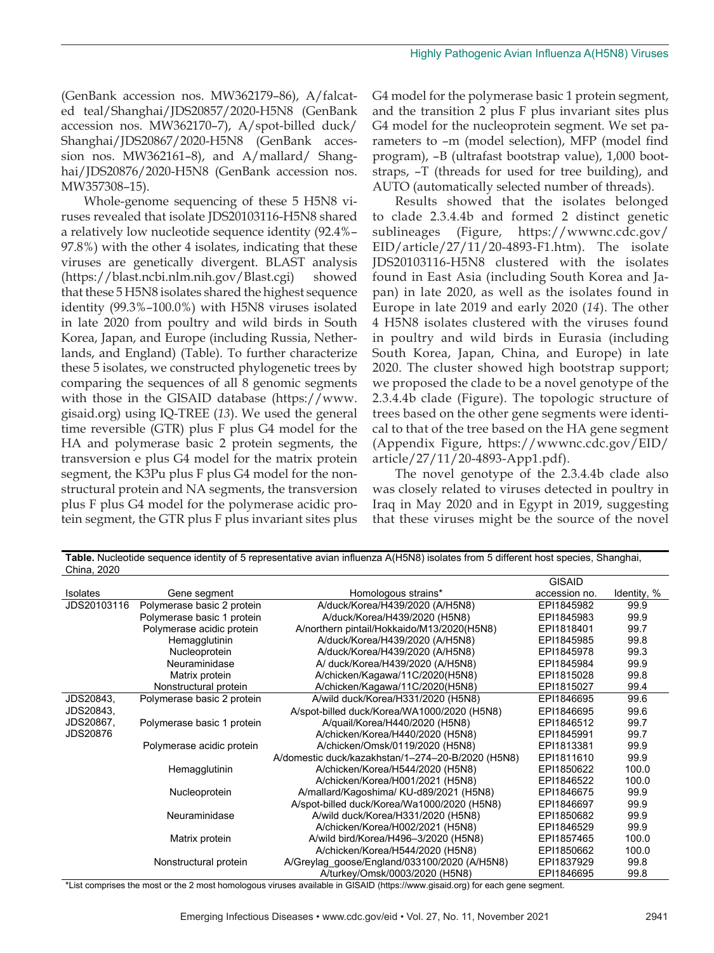(GenBank accession nos. MW362179–86), A/falcated teal/Shanghai/JDS20857/2020-H5N8 (GenBank accession nos. MW362170–7), A/spot-billed duck/ Shanghai/JDS20867/2020-H5N8 (GenBank accession nos. MW362161–8), and A/mallard/ Shanghai/JDS20876/2020-H5N8 (GenBank accession nos. MW357308–15).

Whole-genome sequencing of these 5 H5N8 viruses revealed that isolate JDS20103116-H5N8 shared a relatively low nucleotide sequence identity (92.4%– 97.8%) with the other 4 isolates, indicating that these viruses are genetically divergent. BLAST analysis (https://blast.ncbi.nlm.nih.gov/Blast.cgi) showed that these 5 H5N8 isolates shared the highest sequence identity (99.3%–100.0%) with H5N8 viruses isolated in late 2020 from poultry and wild birds in South Korea, Japan, and Europe (including Russia, Netherlands, and England) (Table). To further characterize these 5 isolates, we constructed phylogenetic trees by comparing the sequences of all 8 genomic segments with those in the GISAID database (https://www. gisaid.org) using IQ-TREE (*13*). We used the general time reversible (GTR) plus F plus G4 model for the HA and polymerase basic 2 protein segments, the transversion e plus G4 model for the matrix protein segment, the K3Pu plus F plus G4 model for the nonstructural protein and NA segments, the transversion plus F plus G4 model for the polymerase acidic protein segment, the GTR plus F plus invariant sites plus

G4 model for the polymerase basic 1 protein segment, and the transition 2 plus F plus invariant sites plus G4 model for the nucleoprotein segment. We set parameters to –m (model selection), MFP (model find program), –B (ultrafast bootstrap value), 1,000 bootstraps, –T (threads for used for tree building), and AUTO (automatically selected number of threads).

Results showed that the isolates belonged to clade 2.3.4.4b and formed 2 distinct genetic sublineages (Figure, https://wwwnc.cdc.gov/ EID/article/27/11/20-4893-F1.htm). The isolate JDS20103116-H5N8 clustered with the isolates found in East Asia (including South Korea and Japan) in late 2020, as well as the isolates found in Europe in late 2019 and early 2020 (*14*). The other 4 H5N8 isolates clustered with the viruses found in poultry and wild birds in Eurasia (including South Korea, Japan, China, and Europe) in late 2020. The cluster showed high bootstrap support; we proposed the clade to be a novel genotype of the 2.3.4.4b clade (Figure). The topologic structure of trees based on the other gene segments were identical to that of the tree based on the HA gene segment (Appendix Figure, https://wwwnc.cdc.gov/EID/ article/27/11/20-4893-App1.pdf).

The novel genotype of the 2.3.4.4b clade also was closely related to viruses detected in poultry in Iraq in May 2020 and in Egypt in 2019, suggesting that these viruses might be the source of the novel

| China, 2020     |                            |                                                   |               |             |
|-----------------|----------------------------|---------------------------------------------------|---------------|-------------|
|                 |                            |                                                   | <b>GISAID</b> |             |
| <b>Isolates</b> | Gene segment               | Homologous strains*                               | accession no. | Identity, % |
| JDS20103116     | Polymerase basic 2 protein | A/duck/Korea/H439/2020 (A/H5N8)                   | EPI1845982    | 99.9        |
|                 | Polymerase basic 1 protein | A/duck/Korea/H439/2020 (H5N8)                     | EPI1845983    | 99.9        |
|                 | Polymerase acidic protein  | A/northern pintail/Hokkaido/M13/2020(H5N8)        | EPI1818401    | 99.7        |
|                 | Hemagglutinin              | A/duck/Korea/H439/2020 (A/H5N8)                   | EPI1845985    | 99.8        |
|                 | Nucleoprotein              | A/duck/Korea/H439/2020 (A/H5N8)                   | EPI1845978    | 99.3        |
|                 | Neuraminidase              | A/ duck/Korea/H439/2020 (A/H5N8)                  | EPI1845984    | 99.9        |
|                 | Matrix protein             | A/chicken/Kagawa/11C/2020(H5N8)                   | EPI1815028    | 99.8        |
|                 | Nonstructural protein      | A/chicken/Kagawa/11C/2020(H5N8)                   | EPI1815027    | 99.4        |
| JDS20843,       | Polymerase basic 2 protein | A/wild duck/Korea/H331/2020 (H5N8)                | EPI1846695    | 99.6        |
| JDS20843,       |                            | A/spot-billed duck/Korea/WA1000/2020 (H5N8)       | EPI1846695    | 99.6        |
| JDS20867,       | Polymerase basic 1 protein | A/quail/Korea/H440/2020 (H5N8)                    | EPI1846512    | 99.7        |
| <b>JDS20876</b> |                            | A/chicken/Korea/H440/2020 (H5N8)                  | EPI1845991    | 99.7        |
|                 | Polymerase acidic protein  | A/chicken/Omsk/0119/2020 (H5N8)                   | EPI1813381    | 99.9        |
|                 |                            | A/domestic duck/kazakhstan/1-274-20-B/2020 (H5N8) | EPI1811610    | 99.9        |
|                 | Hemagglutinin              | A/chicken/Korea/H544/2020 (H5N8)                  | EPI1850622    | 100.0       |
|                 |                            | A/chicken/Korea/H001/2021 (H5N8)                  | EPI1846522    | 100.0       |
|                 | Nucleoprotein              | A/mallard/Kagoshima/ KU-d89/2021 (H5N8)           | EPI1846675    | 99.9        |
|                 |                            | A/spot-billed duck/Korea/Wa1000/2020 (H5N8)       | EPI1846697    | 99.9        |
|                 | Neuraminidase              | A/wild duck/Korea/H331/2020 (H5N8)                | EPI1850682    | 99.9        |
|                 |                            | A/chicken/Korea/H002/2021 (H5N8)                  | EPI1846529    | 99.9        |
|                 | Matrix protein             | A/wild bird/Korea/H496-3/2020 (H5N8)              | EPI1857465    | 100.0       |
|                 |                            | A/chicken/Korea/H544/2020 (H5N8)                  | EPI1850662    | 100.0       |
|                 | Nonstructural protein      | A/Greylag_goose/England/033100/2020 (A/H5N8)      | EPI1837929    | 99.8        |
|                 |                            | A/turkey/Omsk/0003/2020 (H5N8)                    | EPI1846695    | 99.8        |

 $C<sub>bias</sub>$ , 2020

Table. Nucleotide sequence identity of 5 representative avian influenza A(H5N8) isolates from 5 different host species, Shanghai,

\*List comprises the most or the 2 most homologous viruses available in GISAID (https://www.gisaid.org) for each gene segment.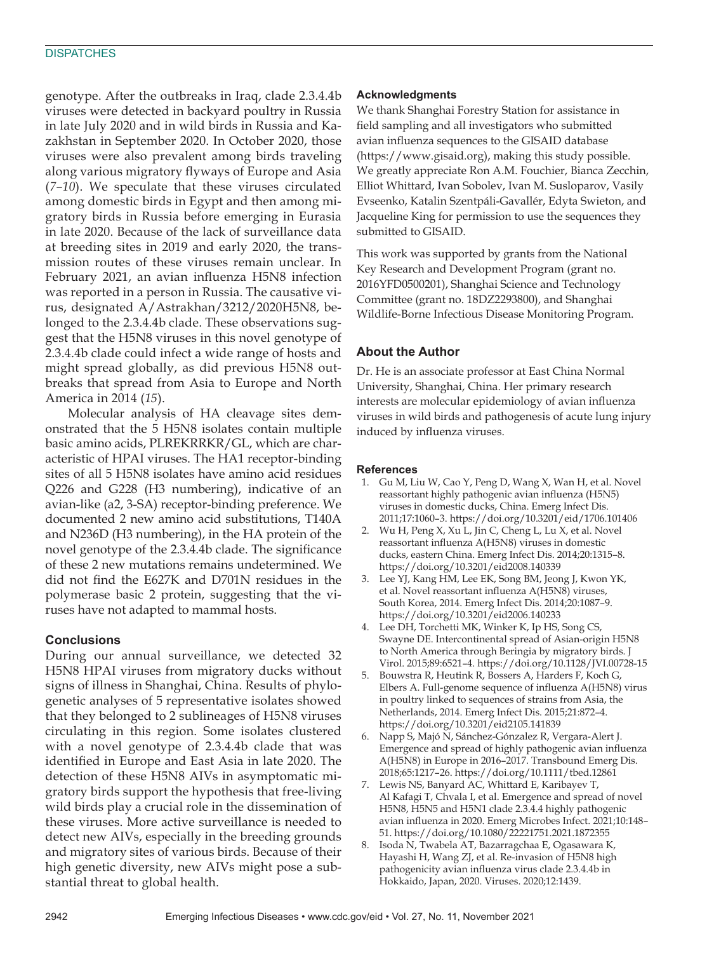genotype. After the outbreaks in Iraq, clade 2.3.4.4b viruses were detected in backyard poultry in Russia in late July 2020 and in wild birds in Russia and Kazakhstan in September 2020. In October 2020, those viruses were also prevalent among birds traveling along various migratory flyways of Europe and Asia (*7–10*). We speculate that these viruses circulated among domestic birds in Egypt and then among migratory birds in Russia before emerging in Eurasia in late 2020. Because of the lack of surveillance data at breeding sites in 2019 and early 2020, the transmission routes of these viruses remain unclear. In February 2021, an avian influenza H5N8 infection was reported in a person in Russia. The causative virus, designated A/Astrakhan/3212/2020H5N8, belonged to the 2.3.4.4b clade. These observations suggest that the H5N8 viruses in this novel genotype of 2.3.4.4b clade could infect a wide range of hosts and might spread globally, as did previous H5N8 outbreaks that spread from Asia to Europe and North America in 2014 (*15*).

Molecular analysis of HA cleavage sites demonstrated that the 5 H5N8 isolates contain multiple basic amino acids, PLREKRRKR/GL, which are characteristic of HPAI viruses. The HA1 receptor-binding sites of all 5 H5N8 isolates have amino acid residues Q226 and G228 (H3 numbering), indicative of an avian-like (a2, 3-SA) receptor-binding preference. We documented 2 new amino acid substitutions, T140A and N236D (H3 numbering), in the HA protein of the novel genotype of the 2.3.4.4b clade. The significance of these 2 new mutations remains undetermined. We did not find the E627K and D701N residues in the polymerase basic 2 protein, suggesting that the viruses have not adapted to mammal hosts.

# **Conclusions**

During our annual surveillance, we detected 32 H5N8 HPAI viruses from migratory ducks without signs of illness in Shanghai, China. Results of phylogenetic analyses of 5 representative isolates showed that they belonged to 2 sublineages of H5N8 viruses circulating in this region. Some isolates clustered with a novel genotype of 2.3.4.4b clade that was identified in Europe and East Asia in late 2020. The detection of these H5N8 AIVs in asymptomatic migratory birds support the hypothesis that free-living wild birds play a crucial role in the dissemination of these viruses. More active surveillance is needed to detect new AIVs, especially in the breeding grounds and migratory sites of various birds. Because of their high genetic diversity, new AIVs might pose a substantial threat to global health.

#### **Acknowledgments**

We thank Shanghai Forestry Station for assistance in field sampling and all investigators who submitted avian influenza sequences to the GISAID database (https://www.gisaid.org), making this study possible. We greatly appreciate Ron A.M. Fouchier, Bianca Zecchin, Elliot Whittard, Ivan Sobolev, Ivan M. Susloparov, Vasily Evseenko, Katalin Szentpáli-Gavallér, Edyta Swieton, and Jacqueline King for permission to use the sequences they submitted to GISAID.

This work was supported by grants from the National Key Research and Development Program (grant no. 2016YFD0500201), Shanghai Science and Technology Committee (grant no. 18DZ2293800), and Shanghai Wildlife-Borne Infectious Disease Monitoring Program.

# **About the Author**

Dr. He is an associate professor at East China Normal University, Shanghai, China. Her primary research interests are molecular epidemiology of avian influenza viruses in wild birds and pathogenesis of acute lung injury induced by influenza viruses.

# **References**

- 1. Gu M, Liu W, Cao Y, Peng D, Wang X, Wan H, et al. Novel reassortant highly pathogenic avian influenza (H5N5) viruses in domestic ducks, China. Emerg Infect Dis. 2011;17:1060–3. https://doi.org/10.3201/eid/1706.101406
- 2. Wu H, Peng X, Xu L, Jin C, Cheng L, Lu X, et al. Novel reassortant influenza A(H5N8) viruses in domestic ducks, eastern China. Emerg Infect Dis. 2014;20:1315–8. https://doi.org/10.3201/eid2008.140339
- 3. Lee YJ, Kang HM, Lee EK, Song BM, Jeong J, Kwon YK, et al. Novel reassortant influenza A(H5N8) viruses, South Korea, 2014. Emerg Infect Dis. 2014;20:1087–9. https://doi.org/10.3201/eid2006.140233
- 4. Lee DH, Torchetti MK, Winker K, Ip HS, Song CS, Swayne DE. Intercontinental spread of Asian-origin H5N8 to North America through Beringia by migratory birds. J Virol. 2015;89:6521–4. https://doi.org/10.1128/JVI.00728-15
- 5. Bouwstra R, Heutink R, Bossers A, Harders F, Koch G, Elbers A. Full-genome sequence of influenza A(H5N8) virus in poultry linked to sequences of strains from Asia, the Netherlands, 2014. Emerg Infect Dis. 2015;21:872–4. https://doi.org/10.3201/eid2105.141839
- 6. Napp S, Majó N, Sánchez-Gónzalez R, Vergara-Alert J. Emergence and spread of highly pathogenic avian influenza A(H5N8) in Europe in 2016–2017. Transbound Emerg Dis. 2018;65:1217–26. https://doi.org/10.1111/tbed.12861
- 7. Lewis NS, Banyard AC, Whittard E, Karibayev T, Al Kafagi T, Chvala I, et al. Emergence and spread of novel H5N8, H5N5 and H5N1 clade 2.3.4.4 highly pathogenic avian influenza in 2020. Emerg Microbes Infect. 2021;10:148– 51. https://doi.org/10.1080/22221751.2021.1872355
- 8. Isoda N, Twabela AT, Bazarragchaa E, Ogasawara K, Hayashi H, Wang ZJ, et al. Re-invasion of H5N8 high pathogenicity avian influenza virus clade 2.3.4.4b in Hokkaido, Japan, 2020. Viruses. 2020;12:1439.